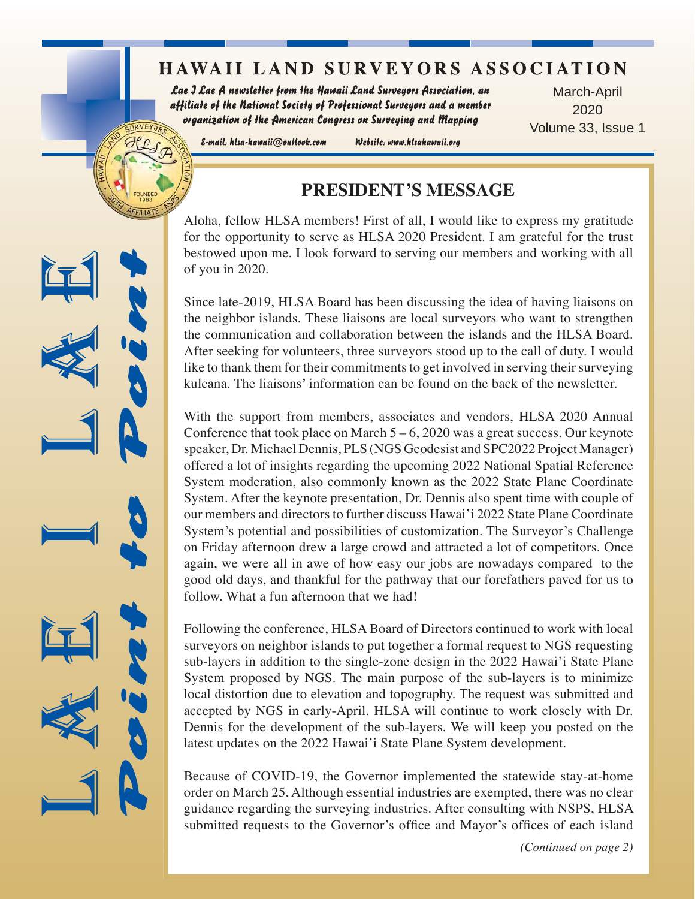# **HAWAII LAND SURVEYORS ASSOCIATION**

Lae J Lae A newsletter from the Hawaii Land Surveyors Association, an affiliate of the National Society of Professional Surveyors and a member organization of the American Congress on Surveying and Mapping

March-April 2020 Volume 33, Issue 1

E-mail: hlsa-hawaii@outlook.com

URVEYOR.

Website: www.hlsahawaii.org

## **PRESIDENT'S MESSAGE**

Aloha, fellow HLSA members! First of all, I would like to express my gratitude for the opportunity to serve as HLSA 2020 President. I am grateful for the trust bestowed upon me. I look forward to serving our members and working with all of you in 2020.

Since late-2019, HLSA Board has been discussing the idea of having liaisons on the neighbor islands. These liaisons are local surveyors who want to strengthen the communication and collaboration between the islands and the HLSA Board. After seeking for volunteers, three surveyors stood up to the call of duty. I would like to thank them for their commitments to get involved in serving their surveying kuleana. The liaisons' information can be found on the back of the newsletter.

With the support from members, associates and vendors, HLSA 2020 Annual Conference that took place on March  $5 - 6$ , 2020 was a great success. Our keynote speaker, Dr. Michael Dennis, PLS (NGS Geodesist and SPC2022 Project Manager) offered a lot of insights regarding the upcoming 2022 National Spatial Reference System moderation, also commonly known as the 2022 State Plane Coordinate System. After the keynote presentation, Dr. Dennis also spent time with couple of our members and directors to further discuss Hawai'i 2022 State Plane Coordinate System's potential and possibilities of customization. The Surveyor's Challenge on Friday afternoon drew a large crowd and attracted a lot of competitors. Once again, we were all in awe of how easy our jobs are nowadays compared to the good old days, and thankful for the pathway that our forefathers paved for us to follow. What a fun afternoon that we had!

Following the conference, HLSA Board of Directors continued to work with local surveyors on neighbor islands to put together a formal request to NGS requesting sub-layers in addition to the single-zone design in the 2022 Hawai'i State Plane System proposed by NGS. The main purpose of the sub-layers is to minimize local distortion due to elevation and topography. The request was submitted and accepted by NGS in early-April. HLSA will continue to work closely with Dr. Dennis for the development of the sub-layers. We will keep you posted on the latest updates on the 2022 Hawai'i State Plane System development.

Because of COVID-19, the Governor implemented the statewide stay-at-home order on March 25. Although essential industries are exempted, there was no clear guidance regarding the surveying industries. After consulting with NSPS, HLSA submitted requests to the Governor's office and Mayor's offices of each island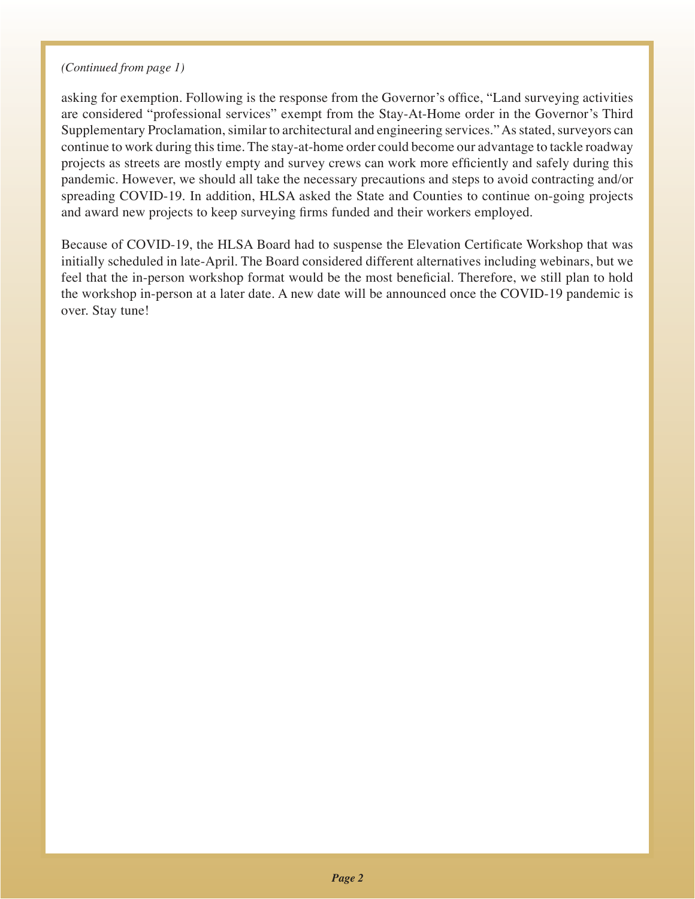#### *(Continued from page 1)*

asking for exemption. Following is the response from the Governor's office, "Land surveying activities are considered "professional services" exempt from the Stay-At-Home order in the Governor's Third Supplementary Proclamation, similar to architectural and engineering services." As stated, surveyors can continue to work during this time. The stay-at-home order could become our advantage to tackle roadway projects as streets are mostly empty and survey crews can work more efficiently and safely during this pandemic. However, we should all take the necessary precautions and steps to avoid contracting and/or spreading COVID-19. In addition, HLSA asked the State and Counties to continue on-going projects and award new projects to keep surveying firms funded and their workers employed.

Because of COVID-19, the HLSA Board had to suspense the Elevation Certificate Workshop that was initially scheduled in late-April. The Board considered different alternatives including webinars, but we feel that the in-person workshop format would be the most beneficial. Therefore, we still plan to hold the workshop in-person at a later date. A new date will be announced once the COVID-19 pandemic is over. Stay tune!